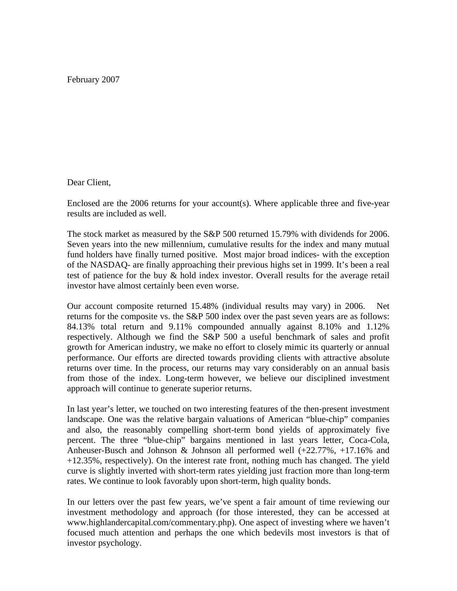February 2007

## Dear Client,

Enclosed are the 2006 returns for your account(s). Where applicable three and five-year results are included as well.

The stock market as measured by the S&P 500 returned 15.79% with dividends for 2006. Seven years into the new millennium, cumulative results for the index and many mutual fund holders have finally turned positive. Most major broad indices- with the exception of the NASDAQ- are finally approaching their previous highs set in 1999. It's been a real test of patience for the buy & hold index investor. Overall results for the average retail investor have almost certainly been even worse.

Our account composite returned 15.48% (individual results may vary) in 2006. Net returns for the composite vs. the S&P 500 index over the past seven years are as follows: 84.13% total return and 9.11% compounded annually against 8.10% and 1.12% respectively. Although we find the S&P 500 a useful benchmark of sales and profit growth for American industry, we make no effort to closely mimic its quarterly or annual performance. Our efforts are directed towards providing clients with attractive absolute returns over time. In the process, our returns may vary considerably on an annual basis from those of the index. Long-term however, we believe our disciplined investment approach will continue to generate superior returns.

In last year's letter, we touched on two interesting features of the then-present investment landscape. One was the relative bargain valuations of American "blue-chip" companies and also, the reasonably compelling short-term bond yields of approximately five percent. The three "blue-chip" bargains mentioned in last years letter, Coca-Cola, Anheuser-Busch and Johnson & Johnson all performed well (+22.77%, +17.16% and +12.35%, respectively). On the interest rate front, nothing much has changed. The yield curve is slightly inverted with short-term rates yielding just fraction more than long-term rates. We continue to look favorably upon short-term, high quality bonds.

In our letters over the past few years, we've spent a fair amount of time reviewing our investment methodology and approach (for those interested, they can be accessed at www.highlandercapital.com/commentary.php). One aspect of investing where we haven't focused much attention and perhaps the one which bedevils most investors is that of investor psychology.